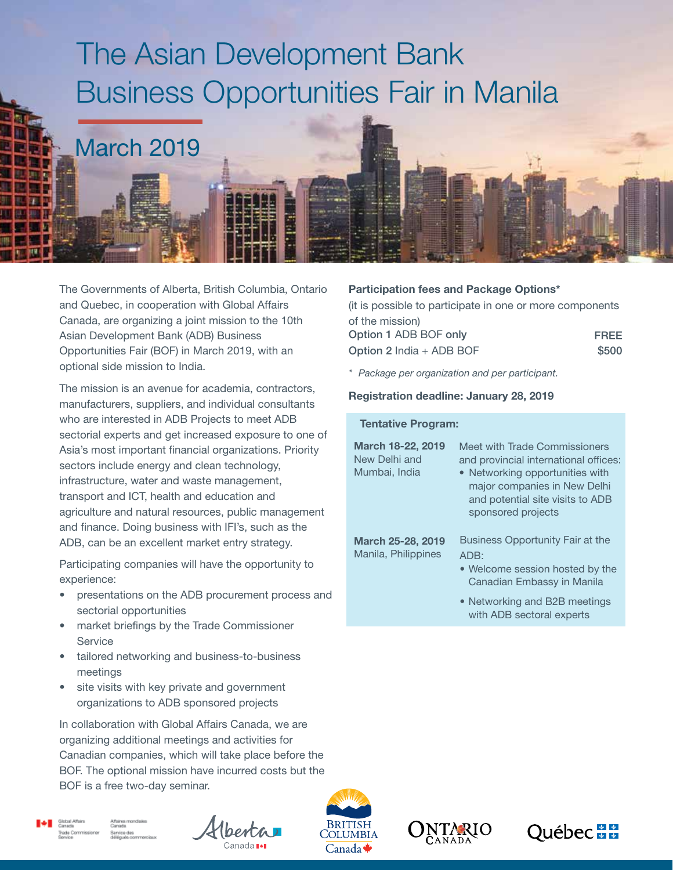# The Asian Development Bank Business Opportunities Fair in Manila



The Governments of Alberta, British Columbia, Ontario and Quebec, in cooperation with Global Affairs Canada, are organizing a joint mission to the 10th Asian Development Bank (ADB) Business Opportunities Fair (BOF) in March 2019, with an optional side mission to India.

The mission is an avenue for academia, contractors, manufacturers, suppliers, and individual consultants who are interested in ADB Projects to meet ADB sectorial experts and get increased exposure to one of Asia's most important financial organizations. Priority sectors include energy and clean technology, infrastructure, water and waste management, transport and ICT, health and education and agriculture and natural resources, public management and finance. Doing business with IFI's, such as the ADB, can be an excellent market entry strategy.

Participating companies will have the opportunity to experience:

- presentations on the ADB procurement process and sectorial opportunities
- market briefings by the Trade Commissioner **Service**
- tailored networking and business-to-business meetings
- site visits with key private and government organizations to ADB sponsored projects

In collaboration with Global Affairs Canada, we are organizing additional meetings and activities for Canadian companies, which will take place before the BOF. The optional mission have incurred costs but the BOF is a free two-day seminar.











Participation fees and Package Options\*

| (it is possible to participate in one or more components) |
|-----------------------------------------------------------|
|                                                           |
| <b>FREE</b>                                               |
| \$500                                                     |
|                                                           |

*\* Package per organization and per participant.*

#### Registration deadline: January 28, 2019

#### Tentative Program:

| March 18-22, 2019<br>New Delhi and<br>Mumbai, India | Meet with Trade Commissioners<br>and provincial international offices:<br>• Networking opportunities with<br>major companies in New Delhi<br>and potential site visits to ADB<br>sponsored projects |
|-----------------------------------------------------|-----------------------------------------------------------------------------------------------------------------------------------------------------------------------------------------------------|
| <b>March 25-28, 2019</b><br>Manila, Philippines     | <b>Business Opportunity Fair at the</b><br>ADB:<br>• Welcome session hosted by the<br>Canadian Embassy in Manila<br>• Networking and B2B meetings                                                   |
|                                                     | with ADB sectoral experts                                                                                                                                                                           |
|                                                     |                                                                                                                                                                                                     |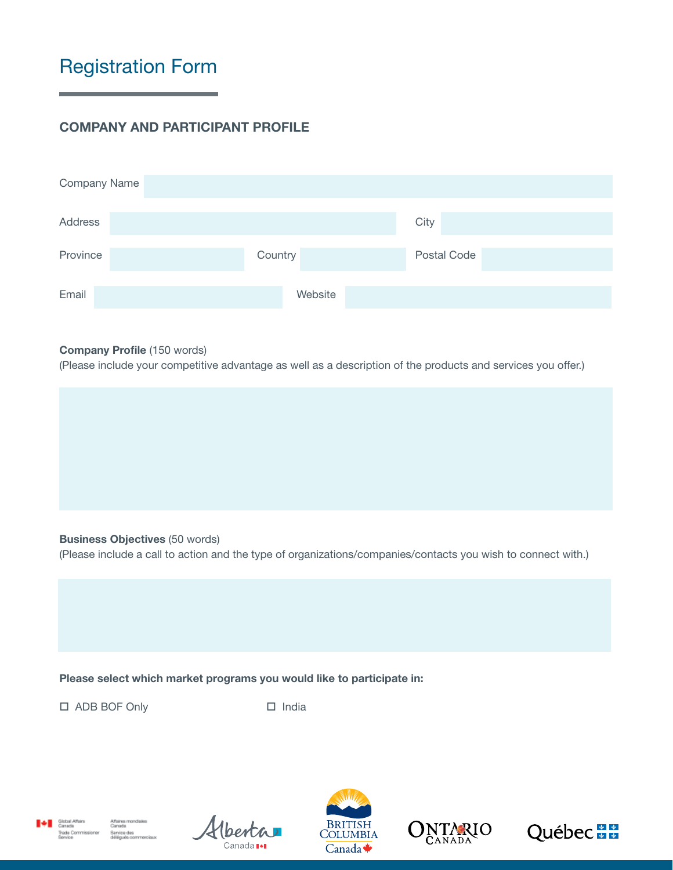## Registration Form

### COMPANY AND PARTICIPANT PROFILE

| Company Name   |         |             |
|----------------|---------|-------------|
| <b>Address</b> |         | City        |
| Province       | Country | Postal Code |
| Email          | Website |             |

#### Company Profile (150 words)

(Please include your competitive advantage as well as a description of the products and services you offer.)

#### Business Objectives (50 words)

(Please include a call to action and the type of organizations/companies/contacts you wish to connect with.)

#### Please select which market programs you would like to participate in:

□ ADB BOF Only □ India